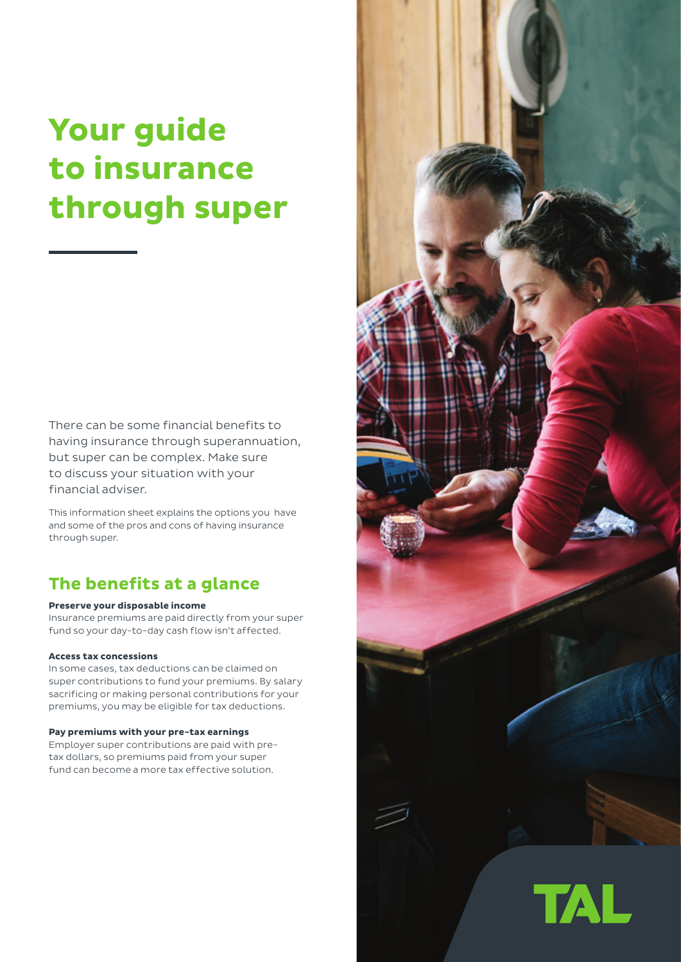# **Your guide to insurance through super**

There can be some financial benefits to having insurance through superannuation, but super can be complex. Make sure to discuss your situation with your financial adviser.

This information sheet explains the options you have and some of the pros and cons of having insurance through super.

### **The benefits at a glance**

#### **Preserve your disposable income**

Insurance premiums are paid directly from your super fund so your day-to-day cash flow isn't affected.

#### **Access tax concessions**

In some cases, tax deductions can be claimed on super contributions to fund your premiums. By salary sacrificing or making personal contributions for your premiums, you may be eligible for tax deductions.

#### **Pay premiums with your pre-tax earnings**

Employer super contributions are paid with pretax dollars, so premiums paid from your super fund can become a more tax effective solution.